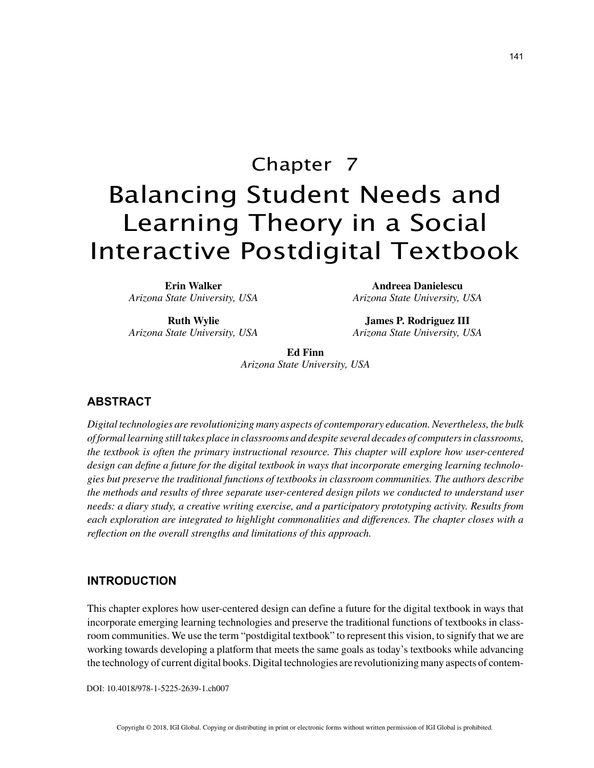# Chapter 7 Balancing Student Needs and Learning Theory in a Social Interactive Postdigital Textbook

**Erin Walker** *Arizona State University, USA*

**Ruth Wylie** *Arizona State University, USA*

**Andreea Danielescu** *Arizona State University, USA*

**James P. Rodriguez III** *Arizona State University, USA*

**Ed Finn** *Arizona State University, USA*

## **ABSTRACT**

*Digital technologies are revolutionizing many aspects of contemporary education. Nevertheless, the bulk of formal learning still takes place in classrooms and despite several decades of computers in classrooms, the textbook is often the primary instructional resource. This chapter will explore how user-centered design can define a future for the digital textbook in ways that incorporate emerging learning technologies but preserve the traditional functions of textbooks in classroom communities. The authors describe the methods and results of three separate user-centered design pilots we conducted to understand user needs: a diary study, a creative writing exercise, and a participatory prototyping activity. Results from each exploration are integrated to highlight commonalities and differences. The chapter closes with a reflection on the overall strengths and limitations of this approach.*

## **INTRODUCTION**

This chapter explores how user-centered design can define a future for the digital textbook in ways that incorporate emerging learning technologies and preserve the traditional functions of textbooks in classroom communities. We use the term "postdigital textbook" to represent this vision, to signify that we are working towards developing a platform that meets the same goals as today's textbooks while advancing the technology of current digital books. Digital technologies are revolutionizing many aspects of contem-

DOI: 10.4018/978-1-5225-2639-1.ch007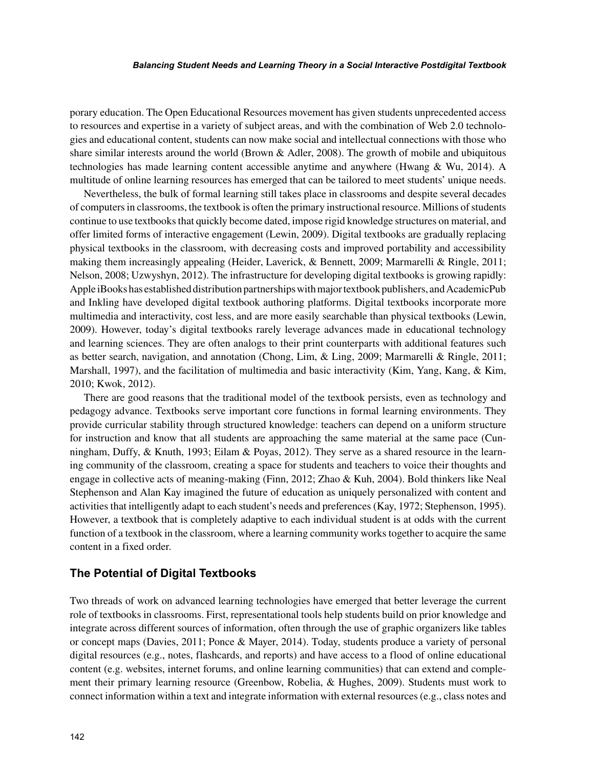#### *Balancing Student Needs and Learning Theory in a Social Interactive Postdigital Textbook*

porary education. The Open Educational Resources movement has given students unprecedented access to resources and expertise in a variety of subject areas, and with the combination of Web 2.0 technologies and educational content, students can now make social and intellectual connections with those who share similar interests around the world (Brown  $\&$  Adler, 2008). The growth of mobile and ubiquitous technologies has made learning content accessible anytime and anywhere (Hwang & Wu, 2014). A multitude of online learning resources has emerged that can be tailored to meet students' unique needs.

Nevertheless, the bulk of formal learning still takes place in classrooms and despite several decades of computers in classrooms, the textbook is often the primary instructional resource. Millions of students continue to use textbooks that quickly become dated, impose rigid knowledge structures on material, and offer limited forms of interactive engagement (Lewin, 2009). Digital textbooks are gradually replacing physical textbooks in the classroom, with decreasing costs and improved portability and accessibility making them increasingly appealing (Heider, Laverick, & Bennett, 2009; Marmarelli & Ringle, 2011; Nelson, 2008; Uzwyshyn, 2012). The infrastructure for developing digital textbooks is growing rapidly: Apple iBooks has established distribution partnerships with major textbook publishers, and AcademicPub and Inkling have developed digital textbook authoring platforms. Digital textbooks incorporate more multimedia and interactivity, cost less, and are more easily searchable than physical textbooks (Lewin, 2009). However, today's digital textbooks rarely leverage advances made in educational technology and learning sciences. They are often analogs to their print counterparts with additional features such as better search, navigation, and annotation (Chong, Lim, & Ling, 2009; Marmarelli & Ringle, 2011; Marshall, 1997), and the facilitation of multimedia and basic interactivity (Kim, Yang, Kang, & Kim, 2010; Kwok, 2012).

There are good reasons that the traditional model of the textbook persists, even as technology and pedagogy advance. Textbooks serve important core functions in formal learning environments. They provide curricular stability through structured knowledge: teachers can depend on a uniform structure for instruction and know that all students are approaching the same material at the same pace (Cunningham, Duffy, & Knuth, 1993; Eilam & Poyas, 2012). They serve as a shared resource in the learning community of the classroom, creating a space for students and teachers to voice their thoughts and engage in collective acts of meaning-making (Finn, 2012; Zhao & Kuh, 2004). Bold thinkers like Neal Stephenson and Alan Kay imagined the future of education as uniquely personalized with content and activities that intelligently adapt to each student's needs and preferences (Kay, 1972; Stephenson, 1995). However, a textbook that is completely adaptive to each individual student is at odds with the current function of a textbook in the classroom, where a learning community works together to acquire the same content in a fixed order.

### **The Potential of Digital Textbooks**

Two threads of work on advanced learning technologies have emerged that better leverage the current role of textbooks in classrooms. First, representational tools help students build on prior knowledge and integrate across different sources of information, often through the use of graphic organizers like tables or concept maps (Davies, 2011; Ponce & Mayer, 2014). Today, students produce a variety of personal digital resources (e.g., notes, flashcards, and reports) and have access to a flood of online educational content (e.g. websites, internet forums, and online learning communities) that can extend and complement their primary learning resource (Greenbow, Robelia, & Hughes, 2009). Students must work to connect information within a text and integrate information with external resources (e.g., class notes and